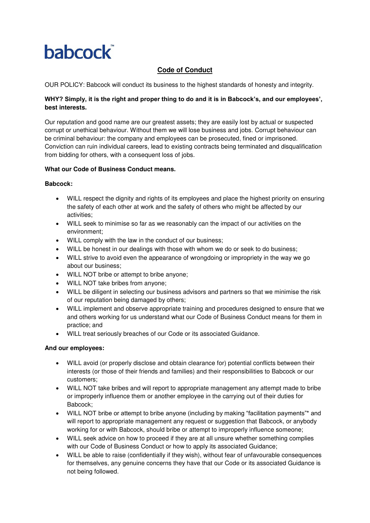# **babcock**

# **Code of Conduct**

OUR POLICY: Babcock will conduct its business to the highest standards of honesty and integrity.

# **WHY? Simply, it is the right and proper thing to do and it is in Babcock's, and our employees', best interests.**

Our reputation and good name are our greatest assets; they are easily lost by actual or suspected corrupt or unethical behaviour. Without them we will lose business and jobs. Corrupt behaviour can be criminal behaviour: the company and employees can be prosecuted, fined or imprisoned. Conviction can ruin individual careers, lead to existing contracts being terminated and disqualification from bidding for others, with a consequent loss of jobs.

## **What our Code of Business Conduct means.**

## **Babcock:**

- WILL respect the dignity and rights of its employees and place the highest priority on ensuring the safety of each other at work and the safety of others who might be affected by our activities;
- WILL seek to minimise so far as we reasonably can the impact of our activities on the environment;
- WILL comply with the law in the conduct of our business;
- WILL be honest in our dealings with those with whom we do or seek to do business;
- WILL strive to avoid even the appearance of wrongdoing or impropriety in the way we go about our business;
- WILL NOT bribe or attempt to bribe anyone;
- WILL NOT take bribes from anyone;
- WILL be diligent in selecting our business advisors and partners so that we minimise the risk of our reputation being damaged by others;
- WILL implement and observe appropriate training and procedures designed to ensure that we and others working for us understand what our Code of Business Conduct means for them in practice; and
- WlLL treat seriously breaches of our Code or its associated Guidance.

#### **And our employees:**

- WILL avoid (or properly disclose and obtain clearance for) potential conflicts between their interests (or those of their friends and families) and their responsibilities to Babcock or our customers;
- WILL NOT take bribes and will report to appropriate management any attempt made to bribe or improperly influence them or another employee in the carrying out of their duties for Babcock;
- WILL NOT bribe or attempt to bribe anyone (including by making "facilitation payments"\* and will report to appropriate management any request or suggestion that Babcock, or anybody working for or with Babcock, should bribe or attempt to improperly influence someone;
- WILL seek advice on how to proceed if they are at all unsure whether something complies with our Code of Business Conduct or how to apply its associated Guidance;
- WILL be able to raise (confidentially if they wish), without fear of unfavourable consequences for themselves, any genuine concerns they have that our Code or its associated Guidance is not being followed.